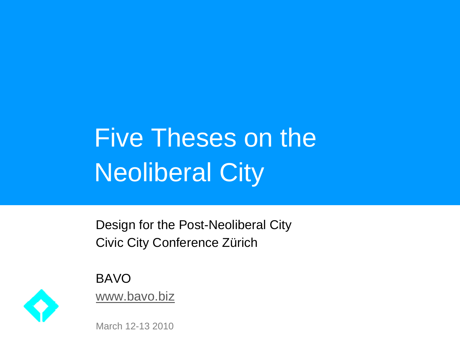## Five Theses on the **Neoliberal City**

Design for the Post-Neoliberal City Civic City Conference Zürich

BAVO www.bavo.biz



March 12-13 2010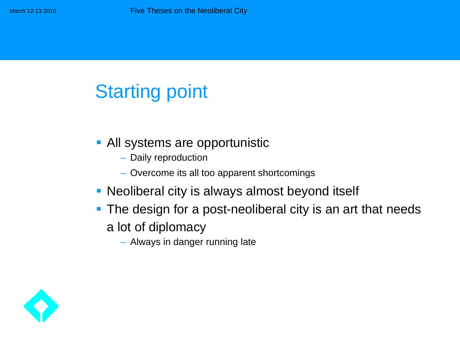## Starting point

- **All systems are opportunistic** 
	- Daily reproduction
	- Overcome its all too apparent shortcomings
- **Neoliberal city is always almost beyond itself**
- **The design for a post-neoliberal city is an art that needs** 
	- a lot of diplomacy
		- Always in danger running late

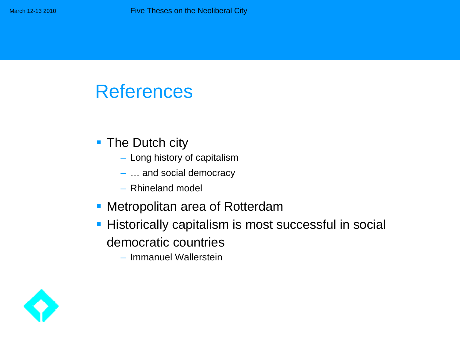## References

- The Dutch city
	- Long history of capitalism
	- … and social democracy
	- Rhineland model
- **Metropolitan area of Rotterdam**
- **Historically capitalism is most successful in social** democratic countries
	- Immanuel Wallerstein

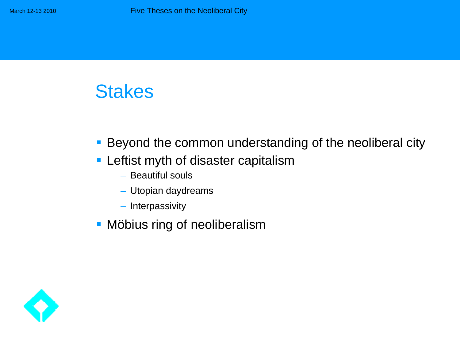## **Stakes**

- **Beyond the common understanding of the neoliberal city**
- **EXTE:** Leftist myth of disaster capitalism
	- Beautiful souls
	- Utopian daydreams
	- Interpassivity
- **Möbius ring of neoliberalism**

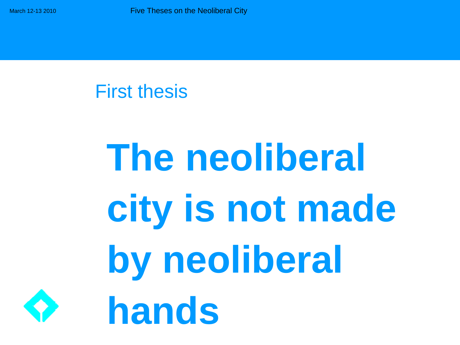### First thesis

## **The neoliberal city is not made by neoliberal hands**

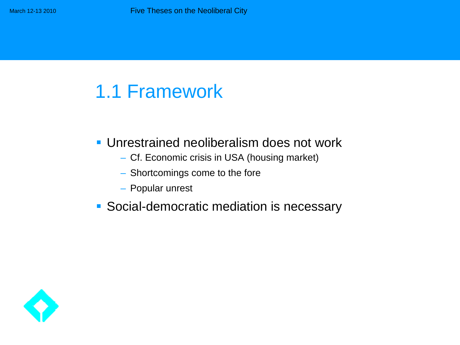#### Unrestrained neoliberalism does not work

- Cf. Economic crisis in USA (housing market)
- Shortcomings come to the fore
- Popular unrest
- **Social-democratic mediation is necessary**

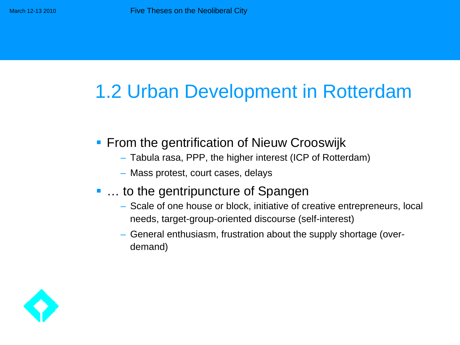## 1.2 Urban Development in Rotterdam

- **From the gentrification of Nieuw Crooswijk** 
	- Tabula rasa, PPP, the higher interest (ICP of Rotterdam)
	- Mass protest, court cases, delays
- ... to the gentripuncture of Spangen
	- Scale of one house or block, initiative of creative entrepreneurs, local needs, target-group-oriented discourse (self-interest)
	- General enthusiasm, frustration about the supply shortage (overdemand)

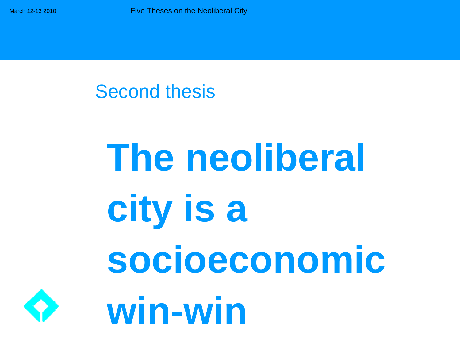### Second thesis

## **The neoliberal city is a socioeconomic win-win**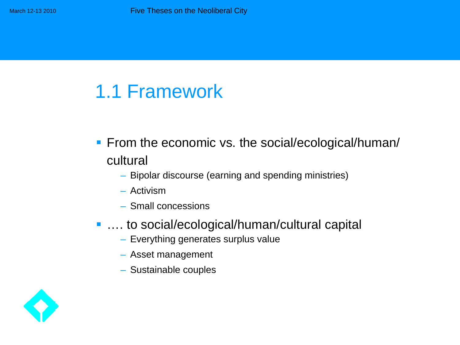- **Firm the economic vs. the social/ecological/human/** cultural
	- Bipolar discourse (earning and spending ministries)
	- Activism
	- Small concessions
- …. to social/ecological/human/cultural capital
	- Everything generates surplus value
	- Asset management
	- Sustainable couples

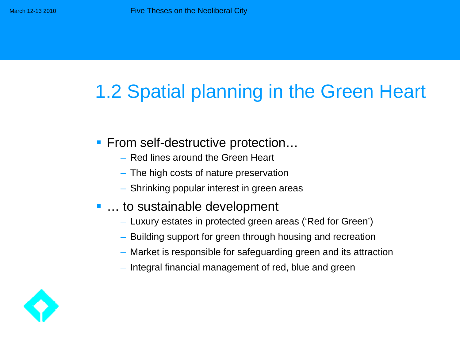## 1.2 Spatial planning in the Green Heart

- From self-destructive protection...
	- Red lines around the Green Heart
	- The high costs of nature preservation
	- Shrinking popular interest in green areas
- … to sustainable development
	- Luxury estates in protected green areas ('Red for Green')
	- Building support for green through housing and recreation
	- Market is responsible for safeguarding green and its attraction
	- Integral financial management of red, blue and green

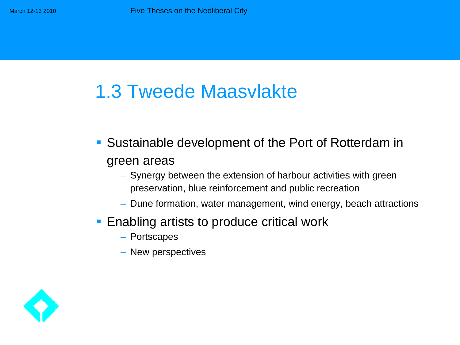## 1.3 Tweede Maasvlakte

- **Sustainable development of the Port of Rotterdam in** green areas
	- Synergy between the extension of harbour activities with green preservation, blue reinforcement and public recreation
	- Dune formation, water management, wind energy, beach attractions
- Enabling artists to produce critical work
	- Portscapes
	- New perspectives

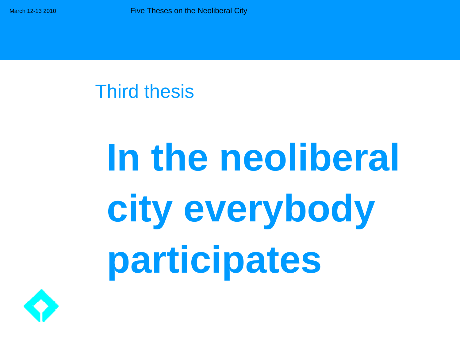### Third thesis

# **In the neoliberal city everybody participates**

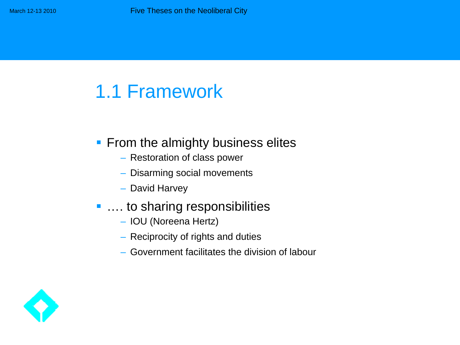#### **Ficm the almighty business elites**

- Restoration of class power
- Disarming social movements
- David Harvey

#### ■ …. to sharing responsibilities

- IOU (Noreena Hertz)
- Reciprocity of rights and duties
- Government facilitates the division of labour

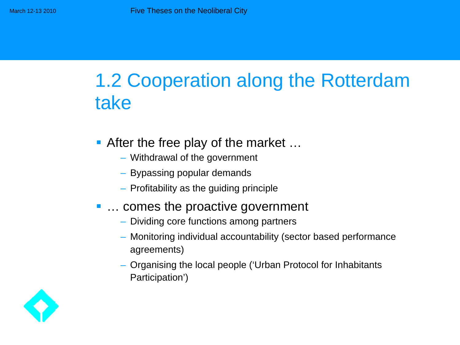## 1.2 Cooperation along the Rotterdam take

- After the free play of the market ...
	- Withdrawal of the government
	- Bypassing popular demands
	- Profitability as the guiding principle

#### ■ ... comes the proactive government

- Dividing core functions among partners
- Monitoring individual accountability (sector based performance agreements)
- Organising the local people ('Urban Protocol for Inhabitants Participation')

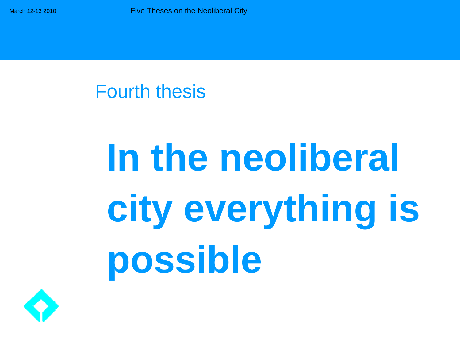### Fourth thesis

## **In the neoliberal city everything is possible**

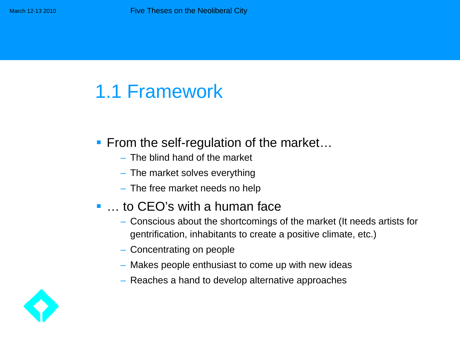#### **Ficm the self-regulation of the market...**

- The blind hand of the market
- The market solves everything
- The free market needs no help

#### ■ … to CEO's with a human face

- Conscious about the shortcomings of the market (It needs artists for gentrification, inhabitants to create a positive climate, etc.)
- Concentrating on people
- Makes people enthusiast to come up with new ideas
- Reaches a hand to develop alternative approaches

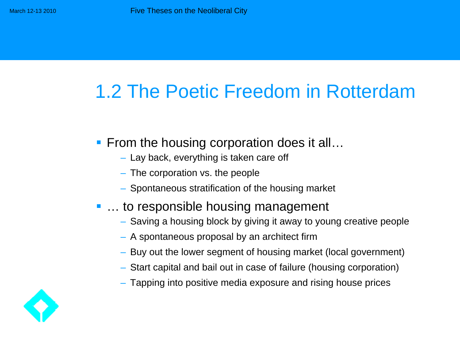## 1.2 The Poetic Freedom in Rotterdam

- From the housing corporation does it all…
	- Lay back, everything is taken care off
	- The corporation vs. the people
	- Spontaneous stratification of the housing market

#### ■ … to responsible housing management

- Saving a housing block by giving it away to young creative people
- A spontaneous proposal by an architect firm
- Buy out the lower segment of housing market (local government)
- Start capital and bail out in case of failure (housing corporation)
- Tapping into positive media exposure and rising house prices

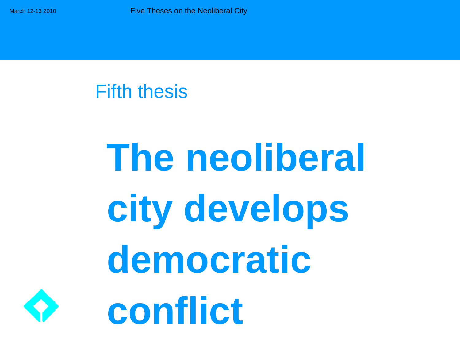### Fifth thesis

## **The neoliberal city develops democratic conflict**

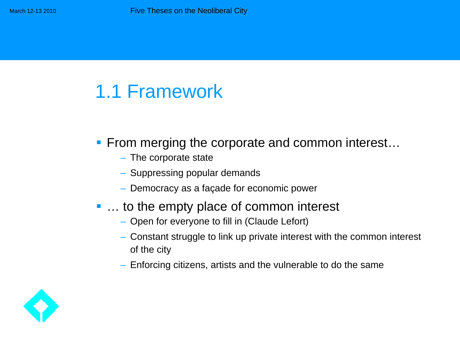- **From merging the corporate and common interest...** 
	- The corporate state
	- Suppressing popular demands
	- Democracy as a façade for economic power

#### ■ ... to the empty place of common interest

- Open for everyone to fill in (Claude Lefort)
- Constant struggle to link up private interest with the common interest of the city
- Enforcing citizens, artists and the vulnerable to do the same

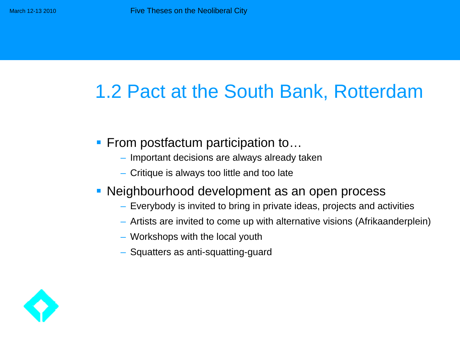## 1.2 Pact at the South Bank, Rotterdam

- From postfactum participation to...
	- Important decisions are always already taken
	- Critique is always too little and too late
- **Neighbourhood development as an open process** 
	- Everybody is invited to bring in private ideas, projects and activities
	- Artists are invited to come up with alternative visions (Afrikaanderplein)
	- Workshops with the local youth
	- Squatters as anti-squatting-guard